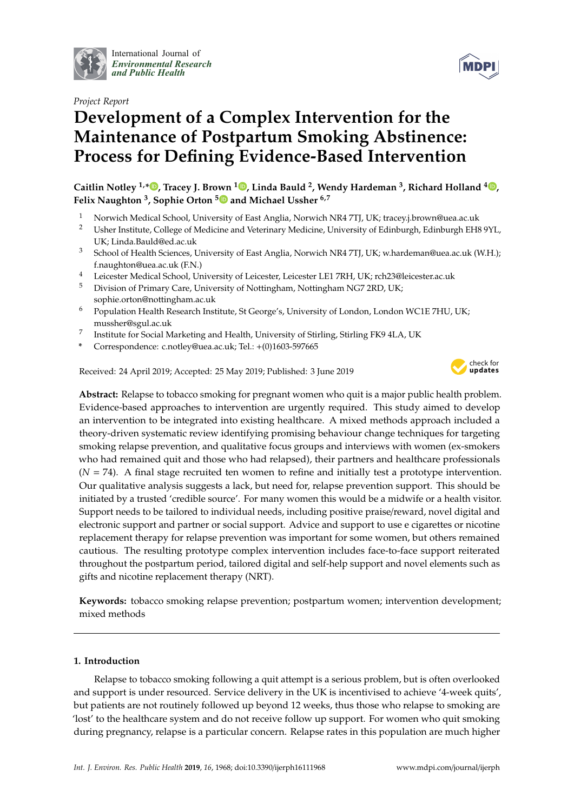

International Journal of *[Environmental Research](http://www.mdpi.com/journal/ijerph) and Public Health*

*Project Report*

# **Development of a Complex Intervention for the Maintenance of Postpartum Smoking Abstinence: Process for Defining Evidence-Based Intervention**

**Caitlin Notley 1,[\\*](https://orcid.org/0000-0003-0876-3304) , Tracey J. Brown <sup>1</sup> [,](https://orcid.org/0000-0003-4381-5974) Linda Bauld <sup>2</sup> , Wendy Hardeman <sup>3</sup> , Richard Holland <sup>4</sup> [,](https://orcid.org/0000-0002-4663-6923) Felix Naughton <sup>3</sup> , Sophie Orton [5](https://orcid.org/0000-0002-8577-216X) and Michael Ussher 6,7**

- 1 Norwich Medical School, University of East Anglia, Norwich NR4 7TJ, UK; tracey.j.brown@uea.ac.uk<br>2 Heber Institute College of Medicine and Veterinary Medicine Huiversity of Edinburgh Edinburgh EH?
- <sup>2</sup> Usher Institute, College of Medicine and Veterinary Medicine, University of Edinburgh, Edinburgh EH8 9YL, UK; Linda.Bauld@ed.ac.uk
- <sup>3</sup> School of Health Sciences, University of East Anglia, Norwich NR4 7TJ, UK; w.hardeman@uea.ac.uk (W.H.); f.naughton@uea.ac.uk (F.N.)
- <sup>4</sup> Leicester Medical School, University of Leicester, Leicester LE1 7RH, UK; rch23@leicester.ac.uk
- <sup>5</sup> Division of Primary Care, University of Nottingham, Nottingham NG7 2RD, UK; sophie.orton@nottingham.ac.uk
- <sup>6</sup> Population Health Research Institute, St George's, University of London, London WC1E 7HU, UK; mussher@sgul.ac.uk
- 7 Institute for Social Marketing and Health, University of Stirling, Stirling FK9 4LA, UK
- **\*** Correspondence: c.notley@uea.ac.uk; Tel.: +(0)1603-597665

Received: 24 April 2019; Accepted: 25 May 2019; Published: 3 June 2019



**Abstract:** Relapse to tobacco smoking for pregnant women who quit is a major public health problem. Evidence-based approaches to intervention are urgently required. This study aimed to develop an intervention to be integrated into existing healthcare. A mixed methods approach included a theory-driven systematic review identifying promising behaviour change techniques for targeting smoking relapse prevention, and qualitative focus groups and interviews with women (ex-smokers who had remained quit and those who had relapsed), their partners and healthcare professionals  $(N = 74)$ . A final stage recruited ten women to refine and initially test a prototype intervention. Our qualitative analysis suggests a lack, but need for, relapse prevention support. This should be initiated by a trusted 'credible source'. For many women this would be a midwife or a health visitor. Support needs to be tailored to individual needs, including positive praise/reward, novel digital and electronic support and partner or social support. Advice and support to use e cigarettes or nicotine replacement therapy for relapse prevention was important for some women, but others remained cautious. The resulting prototype complex intervention includes face-to-face support reiterated throughout the postpartum period, tailored digital and self-help support and novel elements such as gifts and nicotine replacement therapy (NRT).

**Keywords:** tobacco smoking relapse prevention; postpartum women; intervention development; mixed methods

# **1. Introduction**

Relapse to tobacco smoking following a quit attempt is a serious problem, but is often overlooked and support is under resourced. Service delivery in the UK is incentivised to achieve '4-week quits', but patients are not routinely followed up beyond 12 weeks, thus those who relapse to smoking are 'lost' to the healthcare system and do not receive follow up support. For women who quit smoking during pregnancy, relapse is a particular concern. Relapse rates in this population are much higher

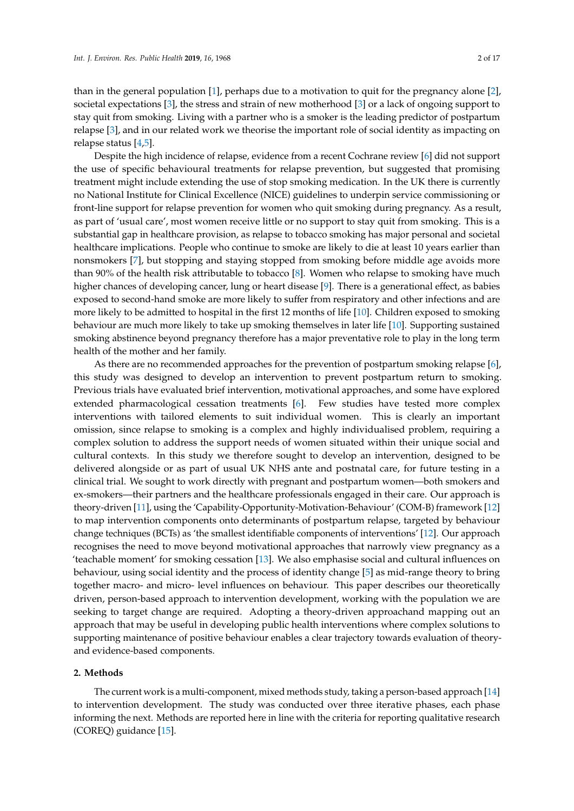than in the general population [\[1\]](#page-15-0), perhaps due to a motivation to quit for the pregnancy alone [\[2\]](#page-15-1), societal expectations [\[3\]](#page-15-2), the stress and strain of new motherhood [\[3\]](#page-15-2) or a lack of ongoing support to stay quit from smoking. Living with a partner who is a smoker is the leading predictor of postpartum relapse [\[3\]](#page-15-2), and in our related work we theorise the important role of social identity as impacting on relapse status [\[4,](#page-15-3)[5\]](#page-15-4).

Despite the high incidence of relapse, evidence from a recent Cochrane review [\[6\]](#page-15-5) did not support the use of specific behavioural treatments for relapse prevention, but suggested that promising treatment might include extending the use of stop smoking medication. In the UK there is currently no National Institute for Clinical Excellence (NICE) guidelines to underpin service commissioning or front-line support for relapse prevention for women who quit smoking during pregnancy. As a result, as part of 'usual care', most women receive little or no support to stay quit from smoking. This is a substantial gap in healthcare provision, as relapse to tobacco smoking has major personal and societal healthcare implications. People who continue to smoke are likely to die at least 10 years earlier than nonsmokers [\[7\]](#page-15-6), but stopping and staying stopped from smoking before middle age avoids more than 90% of the health risk attributable to tobacco [\[8\]](#page-15-7). Women who relapse to smoking have much higher chances of developing cancer, lung or heart disease [\[9\]](#page-15-8). There is a generational effect, as babies exposed to second-hand smoke are more likely to suffer from respiratory and other infections and are more likely to be admitted to hospital in the first 12 months of life [\[10\]](#page-15-9). Children exposed to smoking behaviour are much more likely to take up smoking themselves in later life [\[10\]](#page-15-9). Supporting sustained smoking abstinence beyond pregnancy therefore has a major preventative role to play in the long term health of the mother and her family.

As there are no recommended approaches for the prevention of postpartum smoking relapse [\[6\]](#page-15-5), this study was designed to develop an intervention to prevent postpartum return to smoking. Previous trials have evaluated brief intervention, motivational approaches, and some have explored extended pharmacological cessation treatments [\[6\]](#page-15-5). Few studies have tested more complex interventions with tailored elements to suit individual women. This is clearly an important omission, since relapse to smoking is a complex and highly individualised problem, requiring a complex solution to address the support needs of women situated within their unique social and cultural contexts. In this study we therefore sought to develop an intervention, designed to be delivered alongside or as part of usual UK NHS ante and postnatal care, for future testing in a clinical trial. We sought to work directly with pregnant and postpartum women—both smokers and ex-smokers—their partners and the healthcare professionals engaged in their care. Our approach is theory-driven [\[11\]](#page-15-10), using the 'Capability-Opportunity-Motivation-Behaviour' (COM-B) framework [\[12\]](#page-15-11) to map intervention components onto determinants of postpartum relapse, targeted by behaviour change techniques (BCTs) as 'the smallest identifiable components of interventions' [\[12\]](#page-15-11). Our approach recognises the need to move beyond motivational approaches that narrowly view pregnancy as a 'teachable moment' for smoking cessation [\[13\]](#page-16-0). We also emphasise social and cultural influences on behaviour, using social identity and the process of identity change [\[5\]](#page-15-4) as mid-range theory to bring together macro- and micro- level influences on behaviour. This paper describes our theoretically driven, person-based approach to intervention development, working with the population we are seeking to target change are required. Adopting a theory-driven approachand mapping out an approach that may be useful in developing public health interventions where complex solutions to supporting maintenance of positive behaviour enables a clear trajectory towards evaluation of theoryand evidence-based components.

#### **2. Methods**

The current work is a multi-component, mixed methods study, taking a person-based approach [\[14\]](#page-16-1) to intervention development. The study was conducted over three iterative phases, each phase informing the next. Methods are reported here in line with the criteria for reporting qualitative research (COREQ) guidance [\[15\]](#page-16-2).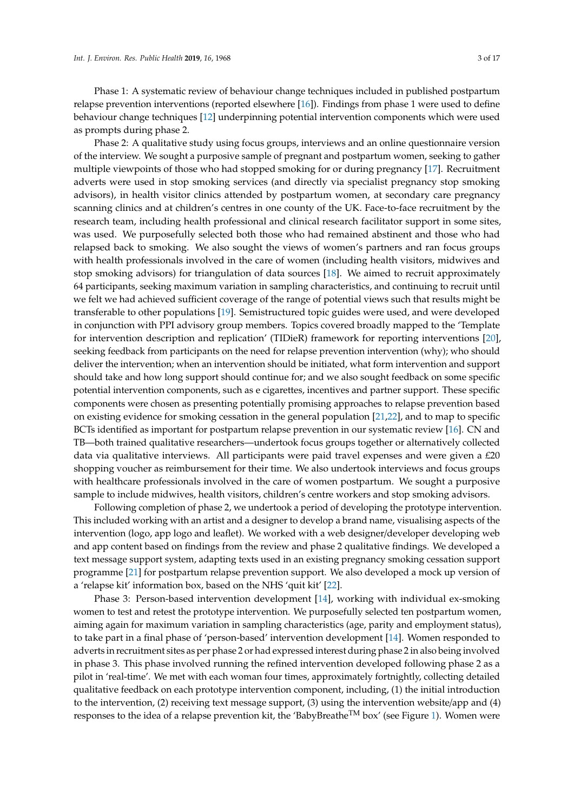Phase 1: A systematic review of behaviour change techniques included in published postpartum relapse prevention interventions (reported elsewhere [\[16\]](#page-16-3)). Findings from phase 1 were used to define behaviour change techniques [\[12\]](#page-15-11) underpinning potential intervention components which were used as prompts during phase 2.

Phase 2: A qualitative study using focus groups, interviews and an online questionnaire version of the interview. We sought a purposive sample of pregnant and postpartum women, seeking to gather multiple viewpoints of those who had stopped smoking for or during pregnancy [\[17\]](#page-16-4). Recruitment adverts were used in stop smoking services (and directly via specialist pregnancy stop smoking advisors), in health visitor clinics attended by postpartum women, at secondary care pregnancy scanning clinics and at children's centres in one county of the UK. Face-to-face recruitment by the research team, including health professional and clinical research facilitator support in some sites, was used. We purposefully selected both those who had remained abstinent and those who had relapsed back to smoking. We also sought the views of women's partners and ran focus groups with health professionals involved in the care of women (including health visitors, midwives and stop smoking advisors) for triangulation of data sources [\[18\]](#page-16-5). We aimed to recruit approximately 64 participants, seeking maximum variation in sampling characteristics, and continuing to recruit until we felt we had achieved sufficient coverage of the range of potential views such that results might be transferable to other populations [\[19\]](#page-16-6). Semistructured topic guides were used, and were developed in conjunction with PPI advisory group members. Topics covered broadly mapped to the 'Template for intervention description and replication' (TIDieR) framework for reporting interventions [\[20\]](#page-16-7), seeking feedback from participants on the need for relapse prevention intervention (why); who should deliver the intervention; when an intervention should be initiated, what form intervention and support should take and how long support should continue for; and we also sought feedback on some specific potential intervention components, such as e cigarettes, incentives and partner support. These specific components were chosen as presenting potentially promising approaches to relapse prevention based on existing evidence for smoking cessation in the general population [\[21,](#page-16-8)[22\]](#page-16-9), and to map to specific BCTs identified as important for postpartum relapse prevention in our systematic review [\[16\]](#page-16-3). CN and TB—both trained qualitative researchers—undertook focus groups together or alternatively collected data via qualitative interviews. All participants were paid travel expenses and were given a  $E20$ shopping voucher as reimbursement for their time. We also undertook interviews and focus groups with healthcare professionals involved in the care of women postpartum. We sought a purposive sample to include midwives, health visitors, children's centre workers and stop smoking advisors.

Following completion of phase 2, we undertook a period of developing the prototype intervention. This included working with an artist and a designer to develop a brand name, visualising aspects of the intervention (logo, app logo and leaflet). We worked with a web designer/developer developing web and app content based on findings from the review and phase 2 qualitative findings. We developed a text message support system, adapting texts used in an existing pregnancy smoking cessation support programme [\[21\]](#page-16-8) for postpartum relapse prevention support. We also developed a mock up version of a 'relapse kit' information box, based on the NHS 'quit kit' [\[22\]](#page-16-9).

Phase 3: Person-based intervention development [\[14\]](#page-16-1), working with individual ex-smoking women to test and retest the prototype intervention. We purposefully selected ten postpartum women, aiming again for maximum variation in sampling characteristics (age, parity and employment status), to take part in a final phase of 'person-based' intervention development [\[14\]](#page-16-1). Women responded to adverts in recruitment sites as per phase 2 or had expressed interest during phase 2 in also being involved in phase 3. This phase involved running the refined intervention developed following phase 2 as a pilot in 'real-time'. We met with each woman four times, approximately fortnightly, collecting detailed qualitative feedback on each prototype intervention component, including, (1) the initial introduction to the intervention, (2) receiving text message support, (3) using the intervention website/app and (4) responses to the idea of a relapse prevention kit, the 'BabyBreatheTM box' (see Figure [1\)](#page-3-0). Women were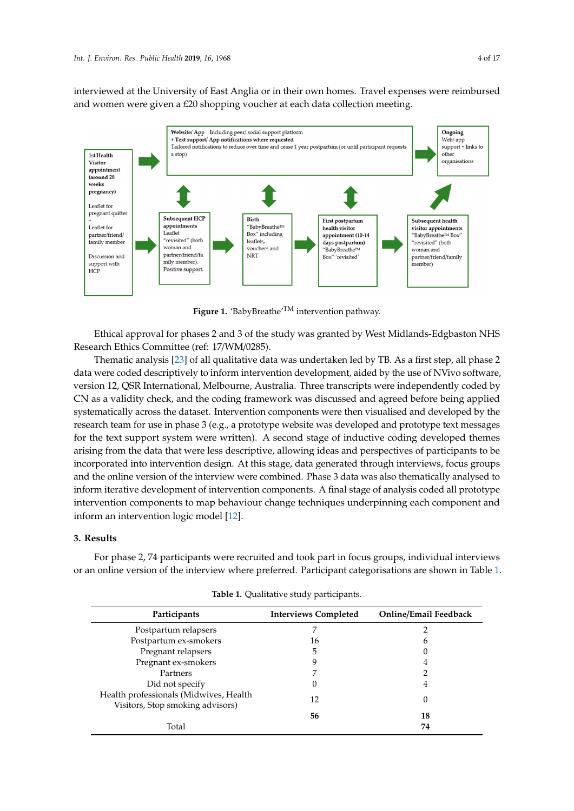interviewed at the University of East Anglia or in their own homes. Travel expenses were reimbursed and women were given a £20 shopping voucher at each data collection meeting.

<span id="page-3-0"></span>

 $\mathbf{B}$ **Figure 1.** 'BabyBreathe'<sup>TM</sup> intervention pathway.

Research Ethics Committee (ref: 17/WM/0285). Ethical approval for phases 2 and 3 of the study was granted by West Midlands-Edgbaston NHS

Thematic analysis [\[23\]](#page-16-10) of all qualitative data was undertaken led by TB. As a first step, all phase 2 data were coded descriptively to inform intervention development, aided by the use of NVivo software, version 12, QSR International, Melbourne, Australia. Three transcripts were independently coded by CN as a validity check, and the coding framework was discussed and agreed before being applied systematically across the dataset. Intervention components were then visualised and developed by the research team for use in phase 3 (e.g., a prototype website was developed and prototype text messages for the text support system were written). A second stage of inductive coding developed themes arising from the data that were less descriptive, allowing ideas and perspectives of participants to be incorporated into intervention design. At this stage, data generated through interviews, focus groups and the online version of the interview were combined. Phase 3 data was also thematically analysed to inform iterative development of intervention components. A final stage of analysis coded all prototype intervention components to map behaviour change techniques underpinning each component and inform an intervention logic model [\[12\]](#page-15-11). underpinning each component and inform an intervention logic model [12].

#### **3. Results**

**3. Results**  or an online version of the interview where preferred. Participant categorisations are shown in Table [1.](#page-3-1) For phase 2, 74 participants were recruited and took part in focus groups, individual interviews

<span id="page-3-1"></span>

| Participants                                                               | <b>Interviews Completed</b> | <b>Online/Email Feedback</b> |
|----------------------------------------------------------------------------|-----------------------------|------------------------------|
| Postpartum relapsers                                                       | ⇁                           |                              |
| Postpartum ex-smokers                                                      | 16                          | 6                            |
| Pregnant relapsers                                                         | 5                           |                              |
| Pregnant ex-smokers                                                        | 9                           | 4                            |
| Partners                                                                   |                             |                              |
| Did not specify                                                            | 0                           | 4                            |
| Health professionals (Midwives, Health<br>Visitors, Stop smoking advisors) | 12                          | 0                            |
|                                                                            | 56                          | 18                           |
| Total                                                                      |                             | 74                           |

**Table 1.** Qualitative study participants.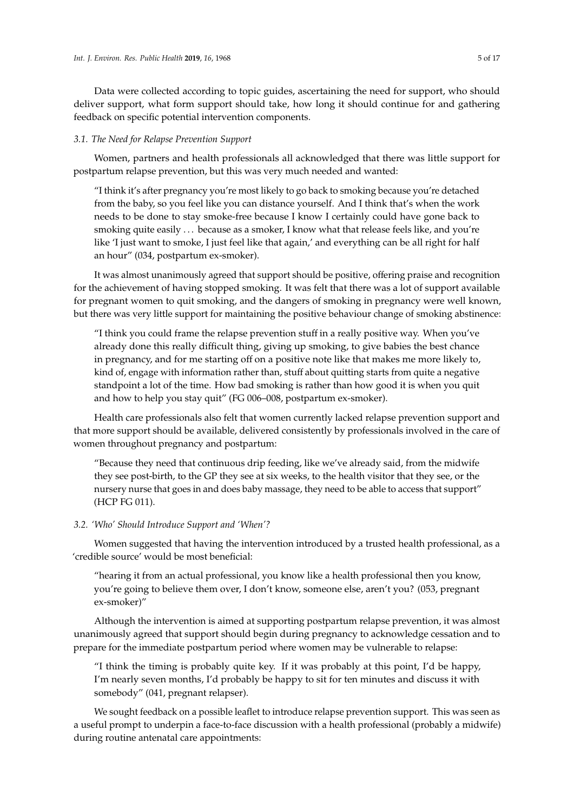Data were collected according to topic guides, ascertaining the need for support, who should deliver support, what form support should take, how long it should continue for and gathering feedback on specific potential intervention components.

#### *3.1. The Need for Relapse Prevention Support*

Women, partners and health professionals all acknowledged that there was little support for postpartum relapse prevention, but this was very much needed and wanted:

"I think it's after pregnancy you're most likely to go back to smoking because you're detached from the baby, so you feel like you can distance yourself. And I think that's when the work needs to be done to stay smoke-free because I know I certainly could have gone back to smoking quite easily ... because as a smoker, I know what that release feels like, and you're like 'I just want to smoke, I just feel like that again,' and everything can be all right for half an hour" (034, postpartum ex-smoker).

It was almost unanimously agreed that support should be positive, offering praise and recognition for the achievement of having stopped smoking. It was felt that there was a lot of support available for pregnant women to quit smoking, and the dangers of smoking in pregnancy were well known, but there was very little support for maintaining the positive behaviour change of smoking abstinence:

"I think you could frame the relapse prevention stuff in a really positive way. When you've already done this really difficult thing, giving up smoking, to give babies the best chance in pregnancy, and for me starting off on a positive note like that makes me more likely to, kind of, engage with information rather than, stuff about quitting starts from quite a negative standpoint a lot of the time. How bad smoking is rather than how good it is when you quit and how to help you stay quit" (FG 006–008, postpartum ex-smoker).

Health care professionals also felt that women currently lacked relapse prevention support and that more support should be available, delivered consistently by professionals involved in the care of women throughout pregnancy and postpartum:

"Because they need that continuous drip feeding, like we've already said, from the midwife they see post-birth, to the GP they see at six weeks, to the health visitor that they see, or the nursery nurse that goes in and does baby massage, they need to be able to access that support" (HCP FG 011).

# *3.2. 'Who' Should Introduce Support and 'When'?*

Women suggested that having the intervention introduced by a trusted health professional, as a 'credible source' would be most beneficial:

"hearing it from an actual professional, you know like a health professional then you know, you're going to believe them over, I don't know, someone else, aren't you? (053, pregnant ex-smoker)"

Although the intervention is aimed at supporting postpartum relapse prevention, it was almost unanimously agreed that support should begin during pregnancy to acknowledge cessation and to prepare for the immediate postpartum period where women may be vulnerable to relapse:

"I think the timing is probably quite key. If it was probably at this point, I'd be happy, I'm nearly seven months, I'd probably be happy to sit for ten minutes and discuss it with somebody" (041, pregnant relapser).

We sought feedback on a possible leaflet to introduce relapse prevention support. This was seen as a useful prompt to underpin a face-to-face discussion with a health professional (probably a midwife) during routine antenatal care appointments: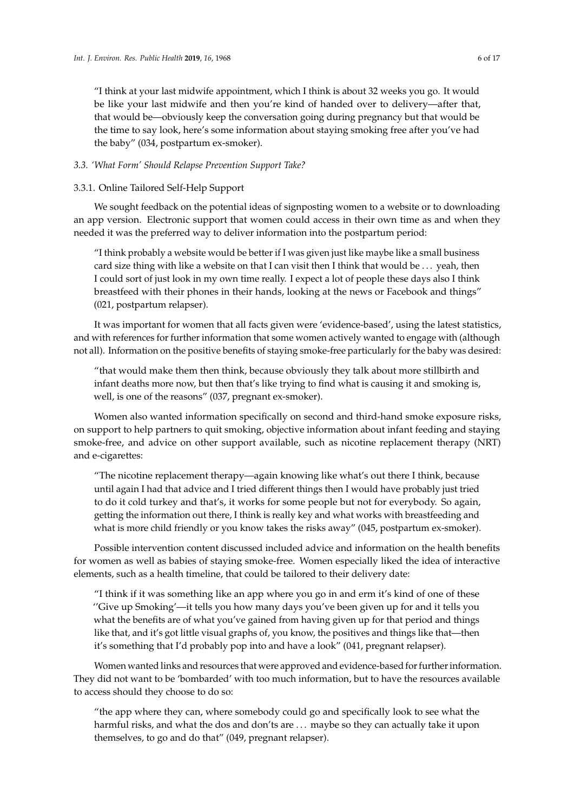"I think at your last midwife appointment, which I think is about 32 weeks you go. It would be like your last midwife and then you're kind of handed over to delivery—after that, that would be—obviously keep the conversation going during pregnancy but that would be the time to say look, here's some information about staying smoking free after you've had the baby" (034, postpartum ex-smoker).

#### *3.3. 'What Form' Should Relapse Prevention Support Take?*

#### 3.3.1. Online Tailored Self-Help Support

We sought feedback on the potential ideas of signposting women to a website or to downloading an app version. Electronic support that women could access in their own time as and when they needed it was the preferred way to deliver information into the postpartum period:

"I think probably a website would be better if I was given just like maybe like a small business card size thing with like a website on that I can visit then I think that would be . . . yeah, then I could sort of just look in my own time really. I expect a lot of people these days also I think breastfeed with their phones in their hands, looking at the news or Facebook and things" (021, postpartum relapser).

It was important for women that all facts given were 'evidence-based', using the latest statistics, and with references for further information that some women actively wanted to engage with (although not all). Information on the positive benefits of staying smoke-free particularly for the baby was desired:

"that would make them then think, because obviously they talk about more stillbirth and infant deaths more now, but then that's like trying to find what is causing it and smoking is, well, is one of the reasons" (037, pregnant ex-smoker).

Women also wanted information specifically on second and third-hand smoke exposure risks, on support to help partners to quit smoking, objective information about infant feeding and staying smoke-free, and advice on other support available, such as nicotine replacement therapy (NRT) and e-cigarettes:

"The nicotine replacement therapy—again knowing like what's out there I think, because until again I had that advice and I tried different things then I would have probably just tried to do it cold turkey and that's, it works for some people but not for everybody. So again, getting the information out there, I think is really key and what works with breastfeeding and what is more child friendly or you know takes the risks away" (045, postpartum ex-smoker).

Possible intervention content discussed included advice and information on the health benefits for women as well as babies of staying smoke-free. Women especially liked the idea of interactive elements, such as a health timeline, that could be tailored to their delivery date:

"I think if it was something like an app where you go in and erm it's kind of one of these ''Give up Smoking'—it tells you how many days you've been given up for and it tells you what the benefits are of what you've gained from having given up for that period and things like that, and it's got little visual graphs of, you know, the positives and things like that—then it's something that I'd probably pop into and have a look" (041, pregnant relapser).

Women wanted links and resources that were approved and evidence-based for further information. They did not want to be 'bombarded' with too much information, but to have the resources available to access should they choose to do so:

"the app where they can, where somebody could go and specifically look to see what the harmful risks, and what the dos and don'ts are ... maybe so they can actually take it upon themselves, to go and do that" (049, pregnant relapser).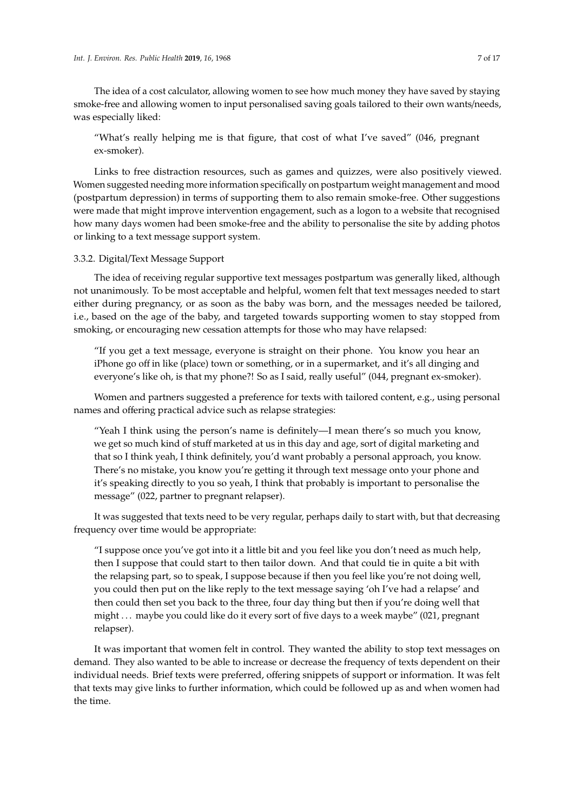The idea of a cost calculator, allowing women to see how much money they have saved by staying smoke-free and allowing women to input personalised saving goals tailored to their own wants/needs, was especially liked:

"What's really helping me is that figure, that cost of what I've saved" (046, pregnant ex-smoker).

Links to free distraction resources, such as games and quizzes, were also positively viewed. Women suggested needing more information specifically on postpartum weight management and mood (postpartum depression) in terms of supporting them to also remain smoke-free. Other suggestions were made that might improve intervention engagement, such as a logon to a website that recognised how many days women had been smoke-free and the ability to personalise the site by adding photos or linking to a text message support system.

#### 3.3.2. Digital/Text Message Support

The idea of receiving regular supportive text messages postpartum was generally liked, although not unanimously. To be most acceptable and helpful, women felt that text messages needed to start either during pregnancy, or as soon as the baby was born, and the messages needed be tailored, i.e., based on the age of the baby, and targeted towards supporting women to stay stopped from smoking, or encouraging new cessation attempts for those who may have relapsed:

"If you get a text message, everyone is straight on their phone. You know you hear an iPhone go off in like (place) town or something, or in a supermarket, and it's all dinging and everyone's like oh, is that my phone?! So as I said, really useful" (044, pregnant ex-smoker).

Women and partners suggested a preference for texts with tailored content, e.g., using personal names and offering practical advice such as relapse strategies:

"Yeah I think using the person's name is definitely—I mean there's so much you know, we get so much kind of stuff marketed at us in this day and age, sort of digital marketing and that so I think yeah, I think definitely, you'd want probably a personal approach, you know. There's no mistake, you know you're getting it through text message onto your phone and it's speaking directly to you so yeah, I think that probably is important to personalise the message" (022, partner to pregnant relapser).

It was suggested that texts need to be very regular, perhaps daily to start with, but that decreasing frequency over time would be appropriate:

"I suppose once you've got into it a little bit and you feel like you don't need as much help, then I suppose that could start to then tailor down. And that could tie in quite a bit with the relapsing part, so to speak, I suppose because if then you feel like you're not doing well, you could then put on the like reply to the text message saying 'oh I've had a relapse' and then could then set you back to the three, four day thing but then if you're doing well that might . . . maybe you could like do it every sort of five days to a week maybe" (021, pregnant relapser).

It was important that women felt in control. They wanted the ability to stop text messages on demand. They also wanted to be able to increase or decrease the frequency of texts dependent on their individual needs. Brief texts were preferred, offering snippets of support or information. It was felt that texts may give links to further information, which could be followed up as and when women had the time.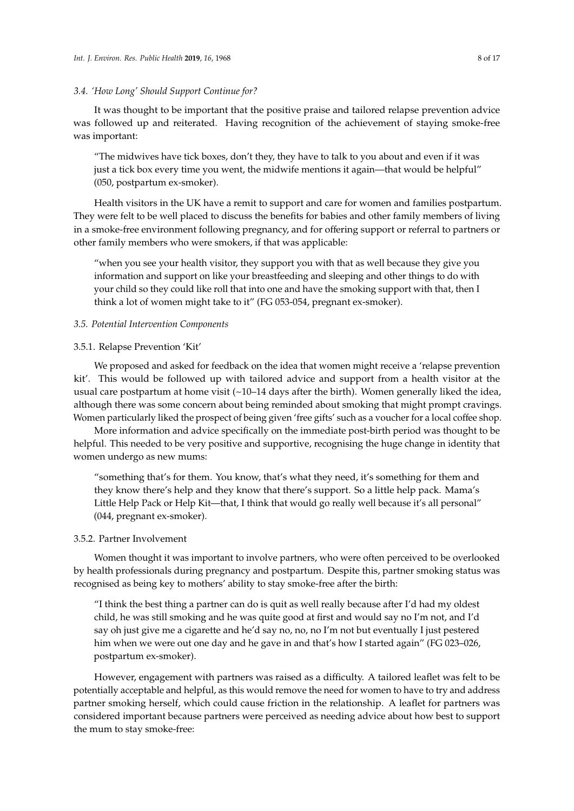#### *3.4. 'How Long' Should Support Continue for?*

It was thought to be important that the positive praise and tailored relapse prevention advice was followed up and reiterated. Having recognition of the achievement of staying smoke-free was important:

"The midwives have tick boxes, don't they, they have to talk to you about and even if it was just a tick box every time you went, the midwife mentions it again—that would be helpful" (050, postpartum ex-smoker).

Health visitors in the UK have a remit to support and care for women and families postpartum. They were felt to be well placed to discuss the benefits for babies and other family members of living in a smoke-free environment following pregnancy, and for offering support or referral to partners or other family members who were smokers, if that was applicable:

"when you see your health visitor, they support you with that as well because they give you information and support on like your breastfeeding and sleeping and other things to do with your child so they could like roll that into one and have the smoking support with that, then I think a lot of women might take to it" (FG 053-054, pregnant ex-smoker).

#### *3.5. Potential Intervention Components*

#### 3.5.1. Relapse Prevention 'Kit'

We proposed and asked for feedback on the idea that women might receive a 'relapse prevention kit'. This would be followed up with tailored advice and support from a health visitor at the usual care postpartum at home visit  $(\sim10-14 \text{ days}$  after the birth). Women generally liked the idea, although there was some concern about being reminded about smoking that might prompt cravings. Women particularly liked the prospect of being given 'free gifts' such as a voucher for a local coffee shop.

More information and advice specifically on the immediate post-birth period was thought to be helpful. This needed to be very positive and supportive, recognising the huge change in identity that women undergo as new mums:

"something that's for them. You know, that's what they need, it's something for them and they know there's help and they know that there's support. So a little help pack. Mama's Little Help Pack or Help Kit—that, I think that would go really well because it's all personal" (044, pregnant ex-smoker).

#### 3.5.2. Partner Involvement

Women thought it was important to involve partners, who were often perceived to be overlooked by health professionals during pregnancy and postpartum. Despite this, partner smoking status was recognised as being key to mothers' ability to stay smoke-free after the birth:

"I think the best thing a partner can do is quit as well really because after I'd had my oldest child, he was still smoking and he was quite good at first and would say no I'm not, and I'd say oh just give me a cigarette and he'd say no, no, no I'm not but eventually I just pestered him when we were out one day and he gave in and that's how I started again" (FG 023–026, postpartum ex-smoker).

However, engagement with partners was raised as a difficulty. A tailored leaflet was felt to be potentially acceptable and helpful, as this would remove the need for women to have to try and address partner smoking herself, which could cause friction in the relationship. A leaflet for partners was considered important because partners were perceived as needing advice about how best to support the mum to stay smoke-free: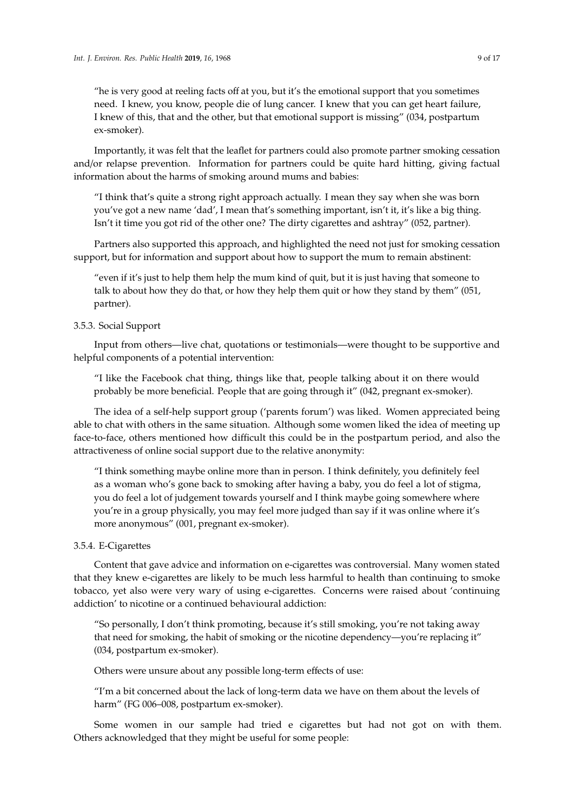"he is very good at reeling facts off at you, but it's the emotional support that you sometimes need. I knew, you know, people die of lung cancer. I knew that you can get heart failure, I knew of this, that and the other, but that emotional support is missing" (034, postpartum ex-smoker).

Importantly, it was felt that the leaflet for partners could also promote partner smoking cessation and/or relapse prevention. Information for partners could be quite hard hitting, giving factual information about the harms of smoking around mums and babies:

"I think that's quite a strong right approach actually. I mean they say when she was born you've got a new name 'dad', I mean that's something important, isn't it, it's like a big thing. Isn't it time you got rid of the other one? The dirty cigarettes and ashtray" (052, partner).

Partners also supported this approach, and highlighted the need not just for smoking cessation support, but for information and support about how to support the mum to remain abstinent:

"even if it's just to help them help the mum kind of quit, but it is just having that someone to talk to about how they do that, or how they help them quit or how they stand by them" (051, partner).

#### 3.5.3. Social Support

Input from others—live chat, quotations or testimonials—were thought to be supportive and helpful components of a potential intervention:

"I like the Facebook chat thing, things like that, people talking about it on there would probably be more beneficial. People that are going through it" (042, pregnant ex-smoker).

The idea of a self-help support group ('parents forum') was liked. Women appreciated being able to chat with others in the same situation. Although some women liked the idea of meeting up face-to-face, others mentioned how difficult this could be in the postpartum period, and also the attractiveness of online social support due to the relative anonymity:

"I think something maybe online more than in person. I think definitely, you definitely feel as a woman who's gone back to smoking after having a baby, you do feel a lot of stigma, you do feel a lot of judgement towards yourself and I think maybe going somewhere where you're in a group physically, you may feel more judged than say if it was online where it's more anonymous" (001, pregnant ex-smoker).

#### 3.5.4. E-Cigarettes

Content that gave advice and information on e-cigarettes was controversial. Many women stated that they knew e-cigarettes are likely to be much less harmful to health than continuing to smoke tobacco, yet also were very wary of using e-cigarettes. Concerns were raised about 'continuing addiction' to nicotine or a continued behavioural addiction:

"So personally, I don't think promoting, because it's still smoking, you're not taking away that need for smoking, the habit of smoking or the nicotine dependency—you're replacing it" (034, postpartum ex-smoker).

Others were unsure about any possible long-term effects of use:

"I'm a bit concerned about the lack of long-term data we have on them about the levels of harm" (FG 006–008, postpartum ex-smoker).

Some women in our sample had tried e cigarettes but had not got on with them. Others acknowledged that they might be useful for some people: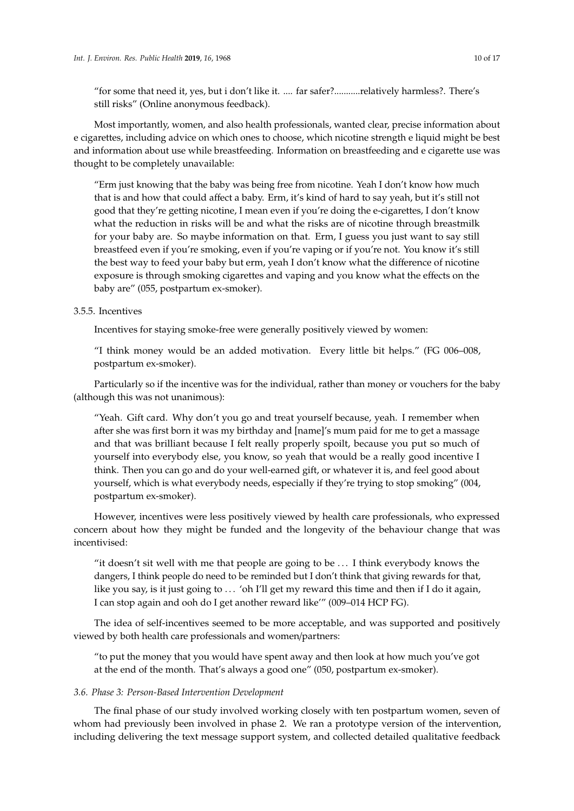"for some that need it, yes, but i don't like it. .... far safer?...........relatively harmless?. There's still risks" (Online anonymous feedback).

Most importantly, women, and also health professionals, wanted clear, precise information about e cigarettes, including advice on which ones to choose, which nicotine strength e liquid might be best and information about use while breastfeeding. Information on breastfeeding and e cigarette use was thought to be completely unavailable:

"Erm just knowing that the baby was being free from nicotine. Yeah I don't know how much that is and how that could affect a baby. Erm, it's kind of hard to say yeah, but it's still not good that they're getting nicotine, I mean even if you're doing the e-cigarettes, I don't know what the reduction in risks will be and what the risks are of nicotine through breastmilk for your baby are. So maybe information on that. Erm, I guess you just want to say still breastfeed even if you're smoking, even if you're vaping or if you're not. You know it's still the best way to feed your baby but erm, yeah I don't know what the difference of nicotine exposure is through smoking cigarettes and vaping and you know what the effects on the baby are" (055, postpartum ex-smoker).

# 3.5.5. Incentives

Incentives for staying smoke-free were generally positively viewed by women:

"I think money would be an added motivation. Every little bit helps." (FG 006–008, postpartum ex-smoker).

Particularly so if the incentive was for the individual, rather than money or vouchers for the baby (although this was not unanimous):

"Yeah. Gift card. Why don't you go and treat yourself because, yeah. I remember when after she was first born it was my birthday and [name]'s mum paid for me to get a massage and that was brilliant because I felt really properly spoilt, because you put so much of yourself into everybody else, you know, so yeah that would be a really good incentive I think. Then you can go and do your well-earned gift, or whatever it is, and feel good about yourself, which is what everybody needs, especially if they're trying to stop smoking" (004, postpartum ex-smoker).

However, incentives were less positively viewed by health care professionals, who expressed concern about how they might be funded and the longevity of the behaviour change that was incentivised:

"it doesn't sit well with me that people are going to be . . . I think everybody knows the dangers, I think people do need to be reminded but I don't think that giving rewards for that, like you say, is it just going to ... 'oh I'll get my reward this time and then if I do it again, I can stop again and ooh do I get another reward like'" (009–014 HCP FG).

The idea of self-incentives seemed to be more acceptable, and was supported and positively viewed by both health care professionals and women/partners:

"to put the money that you would have spent away and then look at how much you've got at the end of the month. That's always a good one" (050, postpartum ex-smoker).

## *3.6. Phase 3: Person-Based Intervention Development*

The final phase of our study involved working closely with ten postpartum women, seven of whom had previously been involved in phase 2. We ran a prototype version of the intervention, including delivering the text message support system, and collected detailed qualitative feedback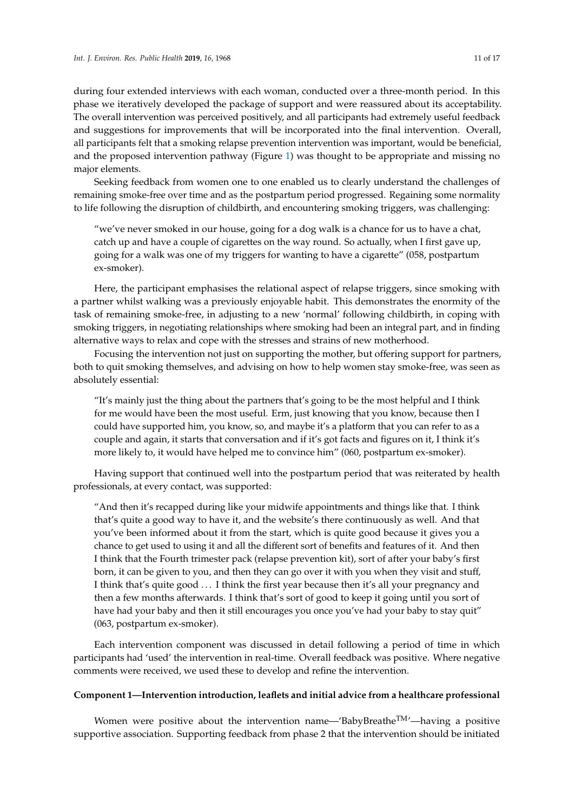during four extended interviews with each woman, conducted over a three-month period. In this phase we iteratively developed the package of support and were reassured about its acceptability. The overall intervention was perceived positively, and all participants had extremely useful feedback and suggestions for improvements that will be incorporated into the final intervention. Overall, all participants felt that a smoking relapse prevention intervention was important, would be beneficial, and the proposed intervention pathway (Figure [1\)](#page-3-0) was thought to be appropriate and missing no major elements.

Seeking feedback from women one to one enabled us to clearly understand the challenges of remaining smoke-free over time and as the postpartum period progressed. Regaining some normality to life following the disruption of childbirth, and encountering smoking triggers, was challenging:

"we've never smoked in our house, going for a dog walk is a chance for us to have a chat, catch up and have a couple of cigarettes on the way round. So actually, when I first gave up, going for a walk was one of my triggers for wanting to have a cigarette" (058, postpartum ex-smoker).

Here, the participant emphasises the relational aspect of relapse triggers, since smoking with a partner whilst walking was a previously enjoyable habit. This demonstrates the enormity of the task of remaining smoke-free, in adjusting to a new 'normal' following childbirth, in coping with smoking triggers, in negotiating relationships where smoking had been an integral part, and in finding alternative ways to relax and cope with the stresses and strains of new motherhood.

Focusing the intervention not just on supporting the mother, but offering support for partners, both to quit smoking themselves, and advising on how to help women stay smoke-free, was seen as absolutely essential:

"It's mainly just the thing about the partners that's going to be the most helpful and I think for me would have been the most useful. Erm, just knowing that you know, because then I could have supported him, you know, so, and maybe it's a platform that you can refer to as a couple and again, it starts that conversation and if it's got facts and figures on it, I think it's more likely to, it would have helped me to convince him" (060, postpartum ex-smoker).

Having support that continued well into the postpartum period that was reiterated by health professionals, at every contact, was supported:

"And then it's recapped during like your midwife appointments and things like that. I think that's quite a good way to have it, and the website's there continuously as well. And that you've been informed about it from the start, which is quite good because it gives you a chance to get used to using it and all the different sort of benefits and features of it. And then I think that the Fourth trimester pack (relapse prevention kit), sort of after your baby's first born, it can be given to you, and then they can go over it with you when they visit and stuff, I think that's quite good . . . I think the first year because then it's all your pregnancy and then a few months afterwards. I think that's sort of good to keep it going until you sort of have had your baby and then it still encourages you once you've had your baby to stay quit" (063, postpartum ex-smoker).

Each intervention component was discussed in detail following a period of time in which participants had 'used' the intervention in real-time. Overall feedback was positive. Where negative comments were received, we used these to develop and refine the intervention.

#### **Component 1—Intervention introduction, leaflets and initial advice from a healthcare professional**

Women were positive about the intervention name—'BabyBreathe<sup>TM</sup>'—having a positive supportive association. Supporting feedback from phase 2 that the intervention should be initiated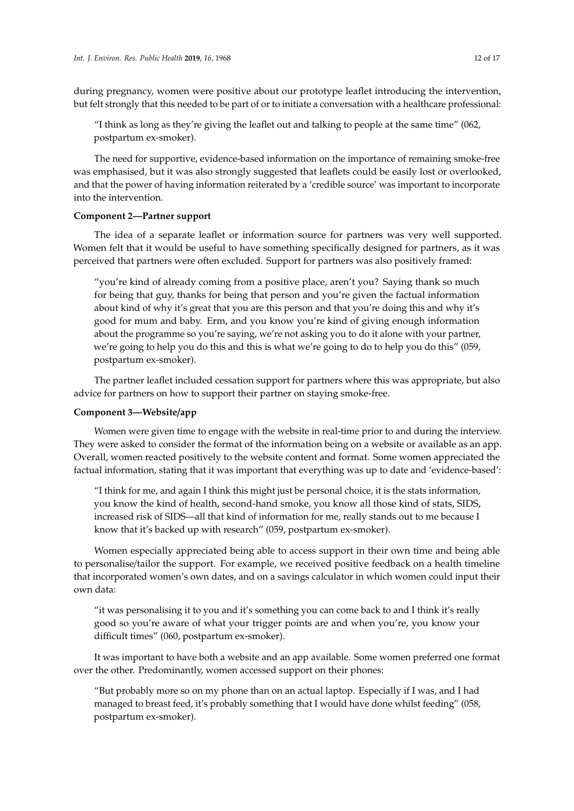during pregnancy, women were positive about our prototype leaflet introducing the intervention, but felt strongly that this needed to be part of or to initiate a conversation with a healthcare professional:

"I think as long as they're giving the leaflet out and talking to people at the same time" (062, postpartum ex-smoker).

The need for supportive, evidence-based information on the importance of remaining smoke-free was emphasised, but it was also strongly suggested that leaflets could be easily lost or overlooked, and that the power of having information reiterated by a 'credible source' was important to incorporate into the intervention.

## **Component 2—Partner support**

The idea of a separate leaflet or information source for partners was very well supported. Women felt that it would be useful to have something specifically designed for partners, as it was perceived that partners were often excluded. Support for partners was also positively framed:

"you're kind of already coming from a positive place, aren't you? Saying thank so much for being that guy, thanks for being that person and you're given the factual information about kind of why it's great that you are this person and that you're doing this and why it's good for mum and baby. Erm, and you know you're kind of giving enough information about the programme so you're saying, we're not asking you to do it alone with your partner, we're going to help you do this and this is what we're going to do to help you do this" (059, postpartum ex-smoker).

The partner leaflet included cessation support for partners where this was appropriate, but also advice for partners on how to support their partner on staying smoke-free.

#### **Component 3—Website**/**app**

Women were given time to engage with the website in real-time prior to and during the interview. They were asked to consider the format of the information being on a website or available as an app. Overall, women reacted positively to the website content and format. Some women appreciated the factual information, stating that it was important that everything was up to date and 'evidence-based':

"I think for me, and again I think this might just be personal choice, it is the stats information, you know the kind of health, second-hand smoke, you know all those kind of stats, SIDS, increased risk of SIDS—all that kind of information for me, really stands out to me because I know that it's backed up with research" (059, postpartum ex-smoker).

Women especially appreciated being able to access support in their own time and being able to personalise/tailor the support. For example, we received positive feedback on a health timeline that incorporated women's own dates, and on a savings calculator in which women could input their own data:

"it was personalising it to you and it's something you can come back to and I think it's really good so you're aware of what your trigger points are and when you're, you know your difficult times" (060, postpartum ex-smoker).

It was important to have both a website and an app available. Some women preferred one format over the other. Predominantly, women accessed support on their phones:

"But probably more so on my phone than on an actual laptop. Especially if I was, and I had managed to breast feed, it's probably something that I would have done whilst feeding" (058, postpartum ex-smoker).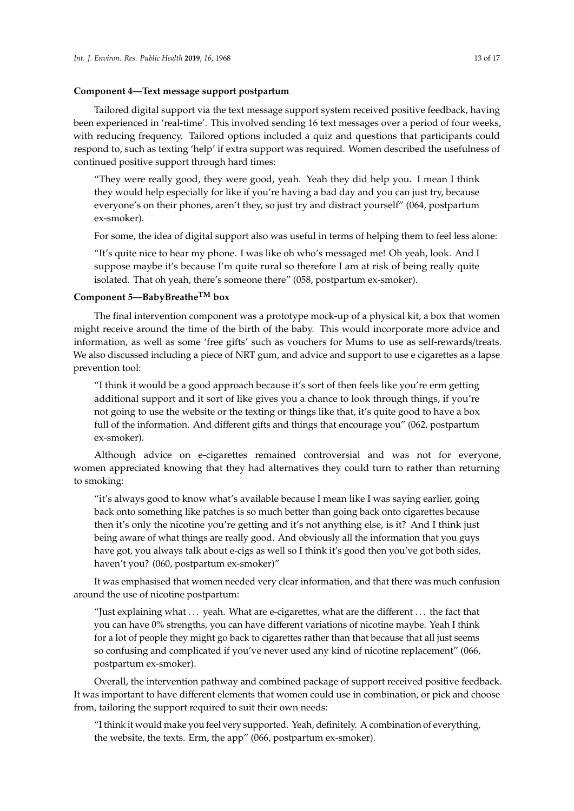#### **Component 4—Text message support postpartum**

Tailored digital support via the text message support system received positive feedback, having been experienced in 'real-time'. This involved sending 16 text messages over a period of four weeks, with reducing frequency. Tailored options included a quiz and questions that participants could respond to, such as texting 'help' if extra support was required. Women described the usefulness of continued positive support through hard times:

"They were really good, they were good, yeah. Yeah they did help you. I mean I think they would help especially for like if you're having a bad day and you can just try, because everyone's on their phones, aren't they, so just try and distract yourself" (064, postpartum ex-smoker).

For some, the idea of digital support also was useful in terms of helping them to feel less alone:

"It's quite nice to hear my phone. I was like oh who's messaged me! Oh yeah, look. And I suppose maybe it's because I'm quite rural so therefore I am at risk of being really quite isolated. That oh yeah, there's someone there" (058, postpartum ex-smoker).

# **Component 5—BabyBreatheTM box**

The final intervention component was a prototype mock-up of a physical kit, a box that women might receive around the time of the birth of the baby. This would incorporate more advice and information, as well as some 'free gifts' such as vouchers for Mums to use as self-rewards/treats. We also discussed including a piece of NRT gum, and advice and support to use e cigarettes as a lapse prevention tool:

"I think it would be a good approach because it's sort of then feels like you're erm getting additional support and it sort of like gives you a chance to look through things, if you're not going to use the website or the texting or things like that, it's quite good to have a box full of the information. And different gifts and things that encourage you" (062, postpartum ex-smoker).

Although advice on e-cigarettes remained controversial and was not for everyone, women appreciated knowing that they had alternatives they could turn to rather than returning to smoking:

"it's always good to know what's available because I mean like I was saying earlier, going back onto something like patches is so much better than going back onto cigarettes because then it's only the nicotine you're getting and it's not anything else, is it? And I think just being aware of what things are really good. And obviously all the information that you guys have got, you always talk about e-cigs as well so I think it's good then you've got both sides, haven't you? (060, postpartum ex-smoker)"

It was emphasised that women needed very clear information, and that there was much confusion around the use of nicotine postpartum:

"Just explaining what  $\dots$  yeah. What are e-cigarettes, what are the different  $\dots$  the fact that you can have 0% strengths, you can have different variations of nicotine maybe. Yeah I think for a lot of people they might go back to cigarettes rather than that because that all just seems so confusing and complicated if you've never used any kind of nicotine replacement" (066, postpartum ex-smoker).

Overall, the intervention pathway and combined package of support received positive feedback. It was important to have different elements that women could use in combination, or pick and choose from, tailoring the support required to suit their own needs:

"I think it would make you feel very supported. Yeah, definitely. A combination of everything, the website, the texts. Erm, the app" (066, postpartum ex-smoker).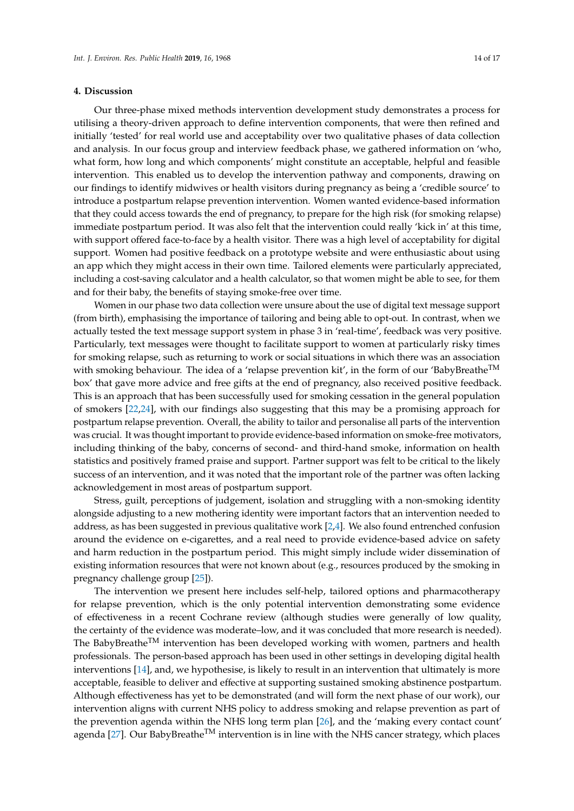#### **4. Discussion**

Our three-phase mixed methods intervention development study demonstrates a process for utilising a theory-driven approach to define intervention components, that were then refined and initially 'tested' for real world use and acceptability over two qualitative phases of data collection and analysis. In our focus group and interview feedback phase, we gathered information on 'who, what form, how long and which components' might constitute an acceptable, helpful and feasible intervention. This enabled us to develop the intervention pathway and components, drawing on our findings to identify midwives or health visitors during pregnancy as being a 'credible source' to introduce a postpartum relapse prevention intervention. Women wanted evidence-based information that they could access towards the end of pregnancy, to prepare for the high risk (for smoking relapse) immediate postpartum period. It was also felt that the intervention could really 'kick in' at this time, with support offered face-to-face by a health visitor. There was a high level of acceptability for digital support. Women had positive feedback on a prototype website and were enthusiastic about using an app which they might access in their own time. Tailored elements were particularly appreciated, including a cost-saving calculator and a health calculator, so that women might be able to see, for them and for their baby, the benefits of staying smoke-free over time.

Women in our phase two data collection were unsure about the use of digital text message support (from birth), emphasising the importance of tailoring and being able to opt-out. In contrast, when we actually tested the text message support system in phase 3 in 'real-time', feedback was very positive. Particularly, text messages were thought to facilitate support to women at particularly risky times for smoking relapse, such as returning to work or social situations in which there was an association with smoking behaviour. The idea of a 'relapse prevention kit', in the form of our 'BabyBreathe<sup>TM</sup> box' that gave more advice and free gifts at the end of pregnancy, also received positive feedback. This is an approach that has been successfully used for smoking cessation in the general population of smokers [\[22,](#page-16-9)[24\]](#page-16-11), with our findings also suggesting that this may be a promising approach for postpartum relapse prevention. Overall, the ability to tailor and personalise all parts of the intervention was crucial. It was thought important to provide evidence-based information on smoke-free motivators, including thinking of the baby, concerns of second- and third-hand smoke, information on health statistics and positively framed praise and support. Partner support was felt to be critical to the likely success of an intervention, and it was noted that the important role of the partner was often lacking acknowledgement in most areas of postpartum support.

Stress, guilt, perceptions of judgement, isolation and struggling with a non-smoking identity alongside adjusting to a new mothering identity were important factors that an intervention needed to address, as has been suggested in previous qualitative work [\[2,](#page-15-1)[4\]](#page-15-3). We also found entrenched confusion around the evidence on e-cigarettes, and a real need to provide evidence-based advice on safety and harm reduction in the postpartum period. This might simply include wider dissemination of existing information resources that were not known about (e.g., resources produced by the smoking in pregnancy challenge group [\[25\]](#page-16-12)).

The intervention we present here includes self-help, tailored options and pharmacotherapy for relapse prevention, which is the only potential intervention demonstrating some evidence of effectiveness in a recent Cochrane review (although studies were generally of low quality, the certainty of the evidence was moderate–low, and it was concluded that more research is needed). The BabyBreathe<sup>TM</sup> intervention has been developed working with women, partners and health professionals. The person-based approach has been used in other settings in developing digital health interventions [\[14\]](#page-16-1), and, we hypothesise, is likely to result in an intervention that ultimately is more acceptable, feasible to deliver and effective at supporting sustained smoking abstinence postpartum. Although effectiveness has yet to be demonstrated (and will form the next phase of our work), our intervention aligns with current NHS policy to address smoking and relapse prevention as part of the prevention agenda within the NHS long term plan [\[26\]](#page-16-13), and the 'making every contact count' agenda [\[27\]](#page-16-14). Our BabyBreathe<sup>TM</sup> intervention is in line with the NHS cancer strategy, which places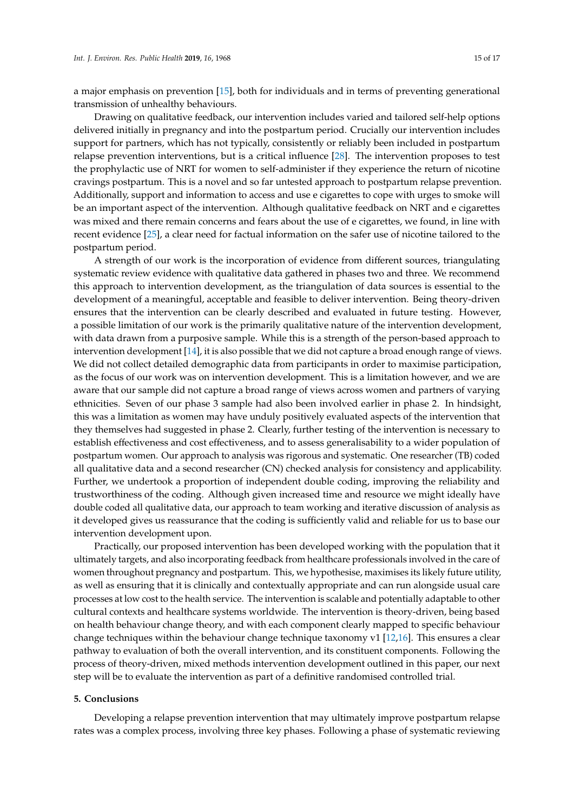a major emphasis on prevention [\[15\]](#page-16-2), both for individuals and in terms of preventing generational transmission of unhealthy behaviours.

Drawing on qualitative feedback, our intervention includes varied and tailored self-help options delivered initially in pregnancy and into the postpartum period. Crucially our intervention includes support for partners, which has not typically, consistently or reliably been included in postpartum relapse prevention interventions, but is a critical influence [\[28\]](#page-16-15). The intervention proposes to test the prophylactic use of NRT for women to self-administer if they experience the return of nicotine cravings postpartum. This is a novel and so far untested approach to postpartum relapse prevention. Additionally, support and information to access and use e cigarettes to cope with urges to smoke will be an important aspect of the intervention. Although qualitative feedback on NRT and e cigarettes was mixed and there remain concerns and fears about the use of e cigarettes, we found, in line with recent evidence [\[25\]](#page-16-12), a clear need for factual information on the safer use of nicotine tailored to the postpartum period.

A strength of our work is the incorporation of evidence from different sources, triangulating systematic review evidence with qualitative data gathered in phases two and three. We recommend this approach to intervention development, as the triangulation of data sources is essential to the development of a meaningful, acceptable and feasible to deliver intervention. Being theory-driven ensures that the intervention can be clearly described and evaluated in future testing. However, a possible limitation of our work is the primarily qualitative nature of the intervention development, with data drawn from a purposive sample. While this is a strength of the person-based approach to intervention development [\[14\]](#page-16-1), it is also possible that we did not capture a broad enough range of views. We did not collect detailed demographic data from participants in order to maximise participation, as the focus of our work was on intervention development. This is a limitation however, and we are aware that our sample did not capture a broad range of views across women and partners of varying ethnicities. Seven of our phase 3 sample had also been involved earlier in phase 2. In hindsight, this was a limitation as women may have unduly positively evaluated aspects of the intervention that they themselves had suggested in phase 2. Clearly, further testing of the intervention is necessary to establish effectiveness and cost effectiveness, and to assess generalisability to a wider population of postpartum women. Our approach to analysis was rigorous and systematic. One researcher (TB) coded all qualitative data and a second researcher (CN) checked analysis for consistency and applicability. Further, we undertook a proportion of independent double coding, improving the reliability and trustworthiness of the coding. Although given increased time and resource we might ideally have double coded all qualitative data, our approach to team working and iterative discussion of analysis as it developed gives us reassurance that the coding is sufficiently valid and reliable for us to base our intervention development upon.

Practically, our proposed intervention has been developed working with the population that it ultimately targets, and also incorporating feedback from healthcare professionals involved in the care of women throughout pregnancy and postpartum. This, we hypothesise, maximises its likely future utility, as well as ensuring that it is clinically and contextually appropriate and can run alongside usual care processes at low cost to the health service. The intervention is scalable and potentially adaptable to other cultural contexts and healthcare systems worldwide. The intervention is theory-driven, being based on health behaviour change theory, and with each component clearly mapped to specific behaviour change techniques within the behaviour change technique taxonomy v1 [\[12,](#page-15-11)[16\]](#page-16-3). This ensures a clear pathway to evaluation of both the overall intervention, and its constituent components. Following the process of theory-driven, mixed methods intervention development outlined in this paper, our next step will be to evaluate the intervention as part of a definitive randomised controlled trial.

# **5. Conclusions**

Developing a relapse prevention intervention that may ultimately improve postpartum relapse rates was a complex process, involving three key phases. Following a phase of systematic reviewing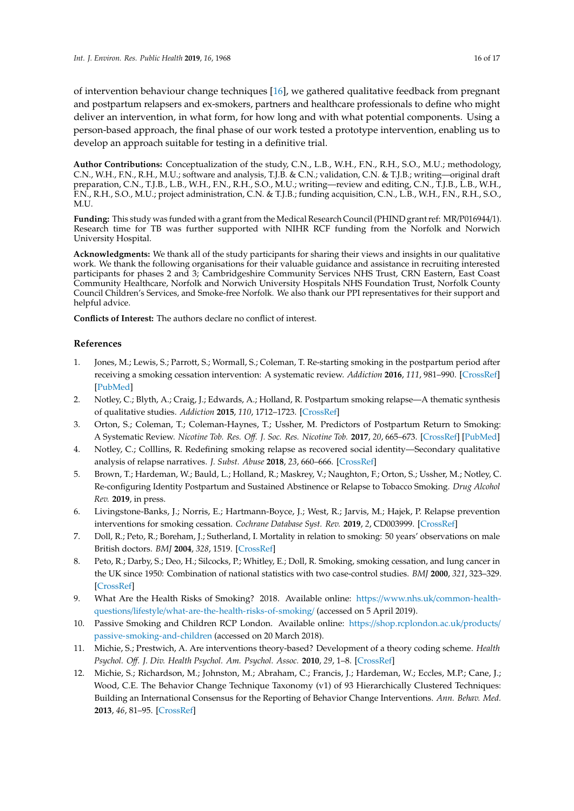of intervention behaviour change techniques [\[16\]](#page-16-3), we gathered qualitative feedback from pregnant and postpartum relapsers and ex-smokers, partners and healthcare professionals to define who might deliver an intervention, in what form, for how long and with what potential components. Using a person-based approach, the final phase of our work tested a prototype intervention, enabling us to develop an approach suitable for testing in a definitive trial.

**Author Contributions:** Conceptualization of the study, C.N., L.B., W.H., F.N., R.H., S.O., M.U.; methodology, C.N., W.H., F.N., R.H., M.U.; software and analysis, T.J.B. & C.N.; validation, C.N. & T.J.B.; writing—original draft preparation, C.N., T.J.B., L.B., W.H., F.N., R.H., S.O., M.U.; writing—review and editing, C.N., T.J.B., L.B., W.H., F.N., R.H., S.O., M.U.; project administration, C.N. & T.J.B.; funding acquisition, C.N., L.B., W.H., F.N., R.H., S.O., M.U.

**Funding:** This study was funded with a grant from the Medical Research Council (PHIND grant ref: MR/P016944/1). Research time for TB was further supported with NIHR RCF funding from the Norfolk and Norwich University Hospital.

**Acknowledgments:** We thank all of the study participants for sharing their views and insights in our qualitative work. We thank the following organisations for their valuable guidance and assistance in recruiting interested participants for phases 2 and 3; Cambridgeshire Community Services NHS Trust, CRN Eastern, East Coast Community Healthcare, Norfolk and Norwich University Hospitals NHS Foundation Trust, Norfolk County Council Children's Services, and Smoke-free Norfolk. We also thank our PPI representatives for their support and helpful advice.

**Conflicts of Interest:** The authors declare no conflict of interest.

# **References**

- <span id="page-15-0"></span>1. Jones, M.; Lewis, S.; Parrott, S.; Wormall, S.; Coleman, T. Re-starting smoking in the postpartum period after receiving a smoking cessation intervention: A systematic review. *Addiction* **2016**, *111*, 981–990. [\[CrossRef\]](http://dx.doi.org/10.1111/add.13309) [\[PubMed\]](http://www.ncbi.nlm.nih.gov/pubmed/26990248)
- <span id="page-15-1"></span>2. Notley, C.; Blyth, A.; Craig, J.; Edwards, A.; Holland, R. Postpartum smoking relapse—A thematic synthesis of qualitative studies. *Addiction* **2015**, *110*, 1712–1723. [\[CrossRef\]](http://dx.doi.org/10.1111/add.13062)
- <span id="page-15-2"></span>3. Orton, S.; Coleman, T.; Coleman-Haynes, T.; Ussher, M. Predictors of Postpartum Return to Smoking: A Systematic Review. *Nicotine Tob. Res. O*ff*. J. Soc. Res. Nicotine Tob.* **2017**, *20*, 665–673. [\[CrossRef\]](http://dx.doi.org/10.1093/ntr/ntx163) [\[PubMed\]](http://www.ncbi.nlm.nih.gov/pubmed/29065203)
- <span id="page-15-3"></span>4. Notley, C.; Colllins, R. Redefining smoking relapse as recovered social identity—Secondary qualitative analysis of relapse narratives. *J. Subst. Abuse* **2018**, *23*, 660–666. [\[CrossRef\]](http://dx.doi.org/10.1080/14659891.2018.1489009)
- <span id="page-15-4"></span>5. Brown, T.; Hardeman, W.; Bauld, L.; Holland, R.; Maskrey, V.; Naughton, F.; Orton, S.; Ussher, M.; Notley, C. Re-configuring Identity Postpartum and Sustained Abstinence or Relapse to Tobacco Smoking. *Drug Alcohol Rev.* **2019**, in press.
- <span id="page-15-5"></span>6. Livingstone-Banks, J.; Norris, E.; Hartmann-Boyce, J.; West, R.; Jarvis, M.; Hajek, P. Relapse prevention interventions for smoking cessation. *Cochrane Database Syst. Rev.* **2019**, *2*, CD003999. [\[CrossRef\]](http://dx.doi.org/10.1002/14651858.CD003999.pub5)
- <span id="page-15-6"></span>7. Doll, R.; Peto, R.; Boreham, J.; Sutherland, I. Mortality in relation to smoking: 50 years' observations on male British doctors. *BMJ* **2004**, *328*, 1519. [\[CrossRef\]](http://dx.doi.org/10.1136/bmj.38142.554479.AE)
- <span id="page-15-7"></span>8. Peto, R.; Darby, S.; Deo, H.; Silcocks, P.; Whitley, E.; Doll, R. Smoking, smoking cessation, and lung cancer in the UK since 1950: Combination of national statistics with two case-control studies. *BMJ* **2000**, *321*, 323–329. [\[CrossRef\]](http://dx.doi.org/10.1136/bmj.321.7257.323)
- <span id="page-15-8"></span>9. What Are the Health Risks of Smoking? 2018. Available online: https://www.nhs.uk/[common-health](https://www.nhs.uk/common-health-questions/lifestyle/what-are-the-health-risks-of-smoking/)questions/lifestyle/[what-are-the-health-risks-of-smoking](https://www.nhs.uk/common-health-questions/lifestyle/what-are-the-health-risks-of-smoking/)/ (accessed on 5 April 2019).
- <span id="page-15-9"></span>10. Passive Smoking and Children RCP London. Available online: https://[shop.rcplondon.ac.uk](https://shop.rcplondon.ac.uk/products/passive-smoking-and-children)/products/ [passive-smoking-and-children](https://shop.rcplondon.ac.uk/products/passive-smoking-and-children) (accessed on 20 March 2018).
- <span id="page-15-10"></span>11. Michie, S.; Prestwich, A. Are interventions theory-based? Development of a theory coding scheme. *Health Psychol. O*ff*. J. Div. Health Psychol. Am. Psychol. Assoc.* **2010**, *29*, 1–8. [\[CrossRef\]](http://dx.doi.org/10.1037/a0016939)
- <span id="page-15-11"></span>12. Michie, S.; Richardson, M.; Johnston, M.; Abraham, C.; Francis, J.; Hardeman, W.; Eccles, M.P.; Cane, J.; Wood, C.E. The Behavior Change Technique Taxonomy (v1) of 93 Hierarchically Clustered Techniques: Building an International Consensus for the Reporting of Behavior Change Interventions. *Ann. Behav. Med.* **2013**, *46*, 81–95. [\[CrossRef\]](http://dx.doi.org/10.1007/s12160-013-9486-6)